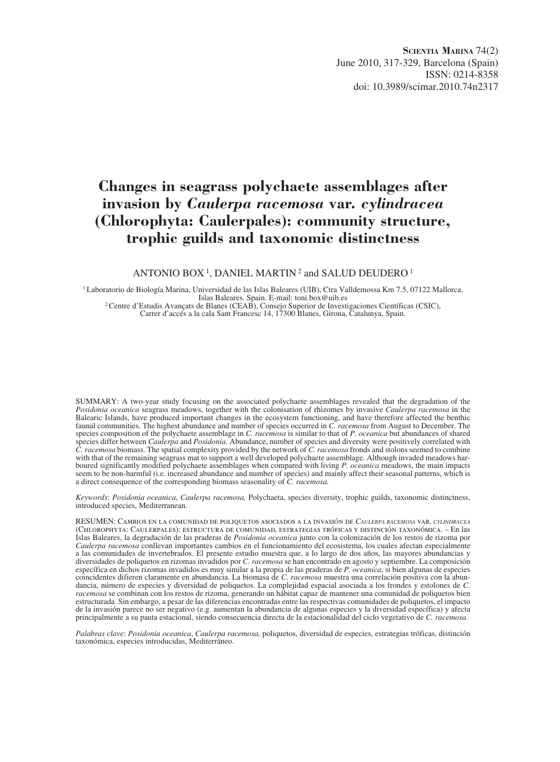**Scientia Marina** 74(2) June 2010, 317-329, Barcelona (Spain) ISSN: 0214-8358 doi: 10.3989/scimar.2010.74n2317

# **Changes in seagrass polychaete assemblages after invasion by** *Caulerpa racemosa* **var.** *cylindracea* **(Chlorophyta: Caulerpales): community structure, trophic guilds and taxonomic distinctness**

#### ANTONIO BOX<sup>1</sup>, DANIEL MARTIN<sup>2</sup> and SALUD DEUDERO<sup>1</sup>

<sup>1</sup> Laboratorio de Biología Marina, Universidad de las Islas Baleares (UIB), Ctra Valldemossa Km 7.5, 07122 Mallorca,<br>Islas Baleares. Spain. E-mail: toni.box@uib.es <sup>2</sup> Centre d'Estudis Avançats de Blanes (CEAB), Consejo Superior de Investigaciones Científicas (CSIC), Carrer d'accés a la cala Sant Francesc 14, 17300 Blanes, Girona, Catalunya, Spain.

SUMMARY: A two-year study focusing on the associated polychaete assemblages revealed that the degradation of the *Posidonia oceanica* seagrass meadows, together with the colonisation of rhizomes by invasive *Caulerpa racemosa* in the Balearic Islands, have produced important changes in the ecosystem functioning, and have therefore affected the benthic faunal communities. The highest abundance and number of species occurred in *C. racemosa* from August to December. The species composition of the polychaete assemblage in *C. racemosa* is similar to that of *P. oceanica* but abundances of shared species differ between *Caulerpa* and *Posidonia*. Abundance, number of species and diversity were positively correlated with *C. racemosa* biomass. The spatial complexity provided by the network of *C. racemosa* fronds and stolons seemed to combine with that of the remaining seagrass mat to support a well developed polychaete assemblage. Although invaded meadows harboured significantly modified polychaete assemblages when compared with living *P. oceanica* meadows, the main impacts seem to be non-harmful (i.e. increased abundance and number of species) and mainly affect their seasonal patterns, which is a direct consequence of the corresponding biomass seasonality of *C. racemosa.*

*Keywords*: *Posidonia oceanica*, *Caulerpa racemosa,* Polychaeta, species diversity, trophic guilds, taxonomic distinctness, introduced species, Mediterranean.

RESUMEN: Cambios en la comunidad de poliquetos asociados a la invasión de *Caulerpa racemosa* var. *cylindracea* (Chlorophyta: Caulerpales): estructura de comunidad, estrategias tróficas y distinción taxonómica. – En las Islas Baleares, la degradación de las praderas de *Posidonia oceanica* junto con la colonización de los restos de rizoma por *Caulerpa racemosa* conllevan importantes cambios en el funcionamiento del ecosistema, los cuales afectan especialmente a las comunidades de invertebrados. El presente estudio muestra que, a lo largo de dos años, las mayores abundancias y diversidades de poliquetos en rizomas invadidos por *C. racemosa* se han encontrado en agosto y septiembre. La composición específica en dichos rizomas invadidos es muy similar a la propia de las praderas de *P. oceanica*, si bien algunas de especies coincidentes difieren claramente en abundancia. La biomasa de *C. racemosa* muestra una correlación positiva con la abundancia, número de especies y diversidad de poliquetos. La complejidad espacial asociada a los frondes y estolones de *C. racemosa* se combinan con los restos de rizoma, generando un hábitat capaz de mantener una comunidad de poliquetos bien estructurada. Sin embargo, a pesar de las diferencias encontradas entre las respectivas comunidades de poliquetos, el impacto de la invasión parece no ser negativo (e.g. aumentan la abundancia de algunas especies y la diversidad específica) y afecta principalmente a su pauta estacional, siendo consecuencia directa de la estacionalidad del ciclo vegetativo de *C. racemosa*.

*Palabras clave*: *Posidonia oceanica*, *Caulerpa racemosa,* poliquetos, diversidad de especies, estrategias tróficas, distinción taxonómica, especies introducidas, Mediterráneo.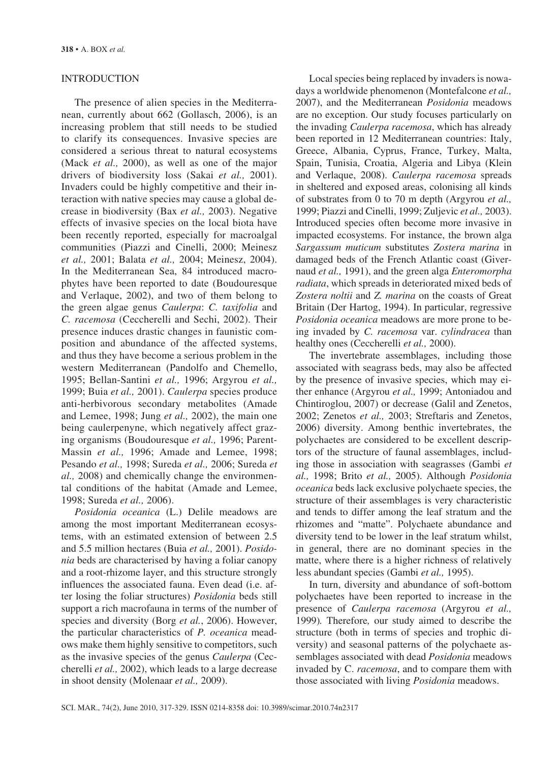# INTRODUCTION

The presence of alien species in the Mediterranean, currently about 662 (Gollasch, 2006), is an increasing problem that still needs to be studied to clarify its consequences. Invasive species are considered a serious threat to natural ecosystems (Mack *et al.,* 2000), as well as one of the major drivers of biodiversity loss (Sakai *et al.,* 2001). Invaders could be highly competitive and their interaction with native species may cause a global decrease in biodiversity (Bax *et al.,* 2003). Negative effects of invasive species on the local biota have been recently reported, especially for macroalgal communities (Piazzi and Cinelli, 2000; Meinesz *et al.,* 2001; Balata *et al.,* 2004; Meinesz, 2004). In the Mediterranean Sea, 84 introduced macrophytes have been reported to date (Boudouresque and Verlaque, 2002), and two of them belong to the green algae genus *Caulerpa*: *C. taxifolia* and *C. racemosa* (Ceccherelli and Sechi, 2002). Their presence induces drastic changes in faunistic composition and abundance of the affected systems, and thus they have become a serious problem in the western Mediterranean (Pandolfo and Chemello, 1995; Bellan-Santini *et al.,* 1996; Argyrou *et al.,* 1999; Buia *et al.,* 2001). *Caulerpa* species produce anti-herbivorous secondary metabolites (Amade and Lemee, 1998; Jung *et al.,* 2002), the main one being caulerpenyne, which negatively affect grazing organisms (Boudouresque *et al.,* 1996; Parent-Massin *et al.,* 1996; Amade and Lemee, 1998; Pesando *et al.,* 1998; Sureda *et al.,* 2006; Sureda *et al.,* 2008) and chemically change the environmental conditions of the habitat (Amade and Lemee, 1998; Sureda *et al.,* 2006).

*Posidonia oceanica* (L.) Delile meadows are among the most important Mediterranean ecosystems, with an estimated extension of between 2.5 and 5.5 million hectares (Buia *et al.,* 2001). *Posidonia* beds are characterised by having a foliar canopy and a root-rhizome layer, and this structure strongly influences the associated fauna. Even dead (i.e. after losing the foliar structures) *Posidonia* beds still support a rich macrofauna in terms of the number of species and diversity (Borg *et al.*, 2006). However, the particular characteristics of *P. oceanica* meadows make them highly sensitive to competitors, such as the invasive species of the genus *Caulerpa* (Ceccherelli *et al.,* 2002), which leads to a large decrease in shoot density (Molenaar *et al.,* 2009).

Local species being replaced by invaders is nowadays a worldwide phenomenon (Montefalcone *et al.,* 2007), and the Mediterranean *Posidonia* meadows are no exception. Our study focuses particularly on the invading *Caulerpa racemosa*, which has already been reported in 12 Mediterranean countries: Italy, Greece, Albania, Cyprus, France, Turkey, Malta, Spain, Tunisia, Croatia, Algeria and Libya (Klein and Verlaque, 2008). *Caulerpa racemosa* spreads in sheltered and exposed areas, colonising all kinds of substrates from 0 to 70 m depth (Argyrou *et al.,* 1999; Piazzi and Cinelli, 1999; Zuljevic *et al.,* 2003). Introduced species often become more invasive in impacted ecosystems. For instance, the brown alga *Sargassum muticum* substitutes *Zostera marina* in damaged beds of the French Atlantic coast (Givernaud *et al.,* 1991), and the green alga *Enteromorpha radiata*, which spreads in deteriorated mixed beds of *Zostera noltii* and *Z. marina* on the coasts of Great Britain (Der Hartog, 1994). In particular, regressive *Posidonia oceanica* meadows are more prone to being invaded by *C. racemosa* var. *cylindracea* than healthy ones (Ceccherelli *et al.,* 2000).

The invertebrate assemblages, including those associated with seagrass beds, may also be affected by the presence of invasive species, which may either enhance (Argyrou *et al.,* 1999; Antoniadou and Chintiroglou, 2007) or decrease (Galil and Zenetos, 2002; Zenetos *et al.,* 2003; Streftaris and Zenetos, 2006) diversity. Among benthic invertebrates, the polychaetes are considered to be excellent descriptors of the structure of faunal assemblages, including those in association with seagrasses (Gambi *et al.,* 1998; Brito *et al.,* 2005). Although *Posidonia oceanica* beds lack exclusive polychaete species, the structure of their assemblages is very characteristic and tends to differ among the leaf stratum and the rhizomes and "matte". Polychaete abundance and diversity tend to be lower in the leaf stratum whilst, in general, there are no dominant species in the matte, where there is a higher richness of relatively less abundant species (Gambi *et al.,* 1995).

In turn, diversity and abundance of soft-bottom polychaetes have been reported to increase in the presence of *Caulerpa racemosa* (Argyrou *et al.,* 1999)*.* Therefore*,* our study aimed to describe the structure (both in terms of species and trophic diversity) and seasonal patterns of the polychaete assemblages associated with dead *Posidonia* meadows invaded by C. *racemosa*, and to compare them with those associated with living *Posidonia* meadows.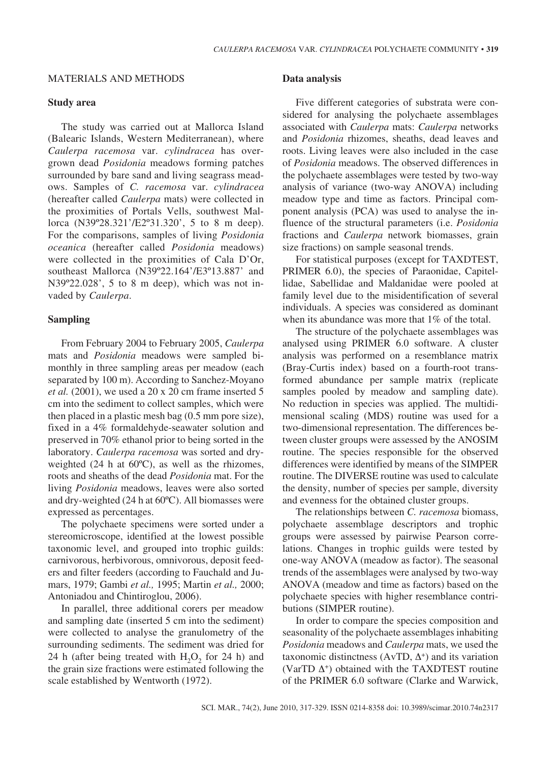## MATERIALS AND METHODS

#### **Study area**

The study was carried out at Mallorca Island (Balearic Islands, Western Mediterranean), where *Caulerpa racemosa* var. *cylindracea* has overgrown dead *Posidonia* meadows forming patches surrounded by bare sand and living seagrass meadows. Samples of *C. racemosa* var. *cylindracea*  (hereafter called *Caulerpa* mats) were collected in the proximities of Portals Vells, southwest Mallorca (N39º28.321'/E2º31.320', 5 to 8 m deep). For the comparisons, samples of living *Posidonia oceanica* (hereafter called *Posidonia* meadows) were collected in the proximities of Cala D'Or, southeast Mallorca (N39º22.164'/E3º13.887' and N39º22.028', 5 to 8 m deep), which was not invaded by *Caulerpa*.

## **Sampling**

From February 2004 to February 2005, *Caulerpa*  mats and *Posidonia* meadows were sampled bimonthly in three sampling areas per meadow (each separated by 100 m). According to Sanchez-Moyano *et al.* (2001), we used a 20 x 20 cm frame inserted 5 cm into the sediment to collect samples, which were then placed in a plastic mesh bag (0.5 mm pore size), fixed in a 4% formaldehyde-seawater solution and preserved in 70% ethanol prior to being sorted in the laboratory. *Caulerpa racemosa* was sorted and dryweighted  $(24 \text{ h at } 60^{\circ}\text{C})$ , as well as the rhizomes, roots and sheaths of the dead *Posidonia* mat. For the living *Posidonia* meadows, leaves were also sorted and dry-weighted (24 h at 60ºC). All biomasses were expressed as percentages.

The polychaete specimens were sorted under a stereomicroscope, identified at the lowest possible taxonomic level, and grouped into trophic guilds: carnivorous, herbivorous, omnivorous, deposit feeders and filter feeders (according to Fauchald and Jumars, 1979; Gambi *et al.,* 1995; Martin *et al.,* 2000; Antoniadou and Chintiroglou, 2006).

In parallel, three additional corers per meadow and sampling date (inserted 5 cm into the sediment) were collected to analyse the granulometry of the surrounding sediments. The sediment was dried for 24 h (after being treated with  $H_2O_2$  for 24 h) and the grain size fractions were estimated following the scale established by Wentworth (1972).

## **Data analysis**

Five different categories of substrata were considered for analysing the polychaete assemblages associated with *Caulerpa* mats: *Caulerpa* networks and *Posidonia* rhizomes, sheaths, dead leaves and roots. Living leaves were also included in the case of *Posidonia* meadows. The observed differences in the polychaete assemblages were tested by two-way analysis of variance (two-way ANOVA) including meadow type and time as factors. Principal component analysis (PCA) was used to analyse the influence of the structural parameters (i.e. *Posidonia*  fractions and *Caulerpa* network biomasses, grain size fractions) on sample seasonal trends.

For statistical purposes (except for TAXDTEST, PRIMER 6.0), the species of Paraonidae, Capitellidae, Sabellidae and Maldanidae were pooled at family level due to the misidentification of several individuals. A species was considered as dominant when its abundance was more that 1% of the total.

The structure of the polychaete assemblages was analysed using PRIMER 6.0 software. A cluster analysis was performed on a resemblance matrix (Bray-Curtis index) based on a fourth-root transformed abundance per sample matrix (replicate samples pooled by meadow and sampling date). No reduction in species was applied. The multidimensional scaling (MDS) routine was used for a two-dimensional representation. The differences between cluster groups were assessed by the ANOSIM routine. The species responsible for the observed differences were identified by means of the SIMPER routine. The DIVERSE routine was used to calculate the density, number of species per sample, diversity and evenness for the obtained cluster groups.

The relationships between *C. racemosa* biomass, polychaete assemblage descriptors and trophic groups were assessed by pairwise Pearson correlations. Changes in trophic guilds were tested by one-way ANOVA (meadow as factor). The seasonal trends of the assemblages were analysed by two-way ANOVA (meadow and time as factors) based on the polychaete species with higher resemblance contributions (SIMPER routine).

In order to compare the species composition and seasonality of the polychaete assemblages inhabiting *Posidonia* meadows and *Caulerpa* mats, we used the taxonomic distinctness (AvTD,  $\Delta^+$ ) and its variation (VarTD  $\Delta$ <sup>+</sup>) obtained with the TAXDTEST routine of the PRIMER 6.0 software (Clarke and Warwick,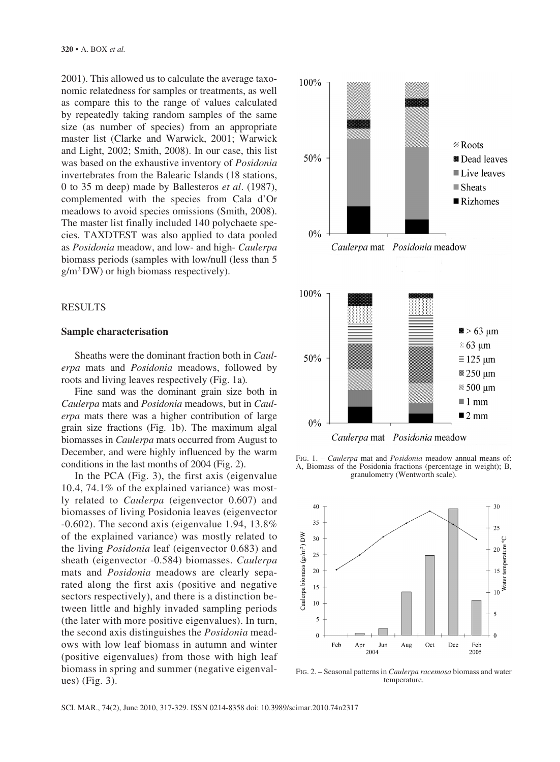2001). This allowed us to calculate the average taxonomic relatedness for samples or treatments, as well as compare this to the range of values calculated by repeatedly taking random samples of the same size (as number of species) from an appropriate master list (Clarke and Warwick, 2001; Warwick and Light, 2002; Smith, 2008). In our case, this list was based on the exhaustive inventory of *Posidonia* invertebrates from the Balearic Islands (18 stations, 0 to 35 m deep) made by Ballesteros *et al*. (1987), complemented with the species from Cala d'Or meadows to avoid species omissions (Smith, 2008). The master list finally included 140 polychaete species. TAXDTEST was also applied to data pooled as *Posidonia* meadow, and low- and high- *Caulerpa* biomass periods (samples with low/null (less than 5 g/m2 DW) or high biomass respectively).

## RESULTS

# **Sample characterisation**

Sheaths were the dominant fraction both in *Caulerpa* mats and *Posidonia* meadows, followed by roots and living leaves respectively (Fig. 1a)*.* 

Fine sand was the dominant grain size both in *Caulerpa* mats and *Posidonia* meadows, but in *Caulerpa* mats there was a higher contribution of large grain size fractions (Fig. 1b). The maximum algal biomasses in *Caulerpa* mats occurred from August to December, and were highly influenced by the warm conditions in the last months of 2004 (Fig. 2).

In the PCA (Fig. 3), the first axis (eigenvalue 10.4, 74.1% of the explained variance) was mostly related to *Caulerpa* (eigenvector 0.607) and biomasses of living Posidonia leaves (eigenvector -0.602). The second axis (eigenvalue 1.94, 13.8% of the explained variance) was mostly related to the living *Posidonia* leaf (eigenvector 0.683) and sheath (eigenvector -0.584) biomasses. *Caulerpa*  mats and *Posidonia* meadows are clearly separated along the first axis (positive and negative sectors respectively), and there is a distinction between little and highly invaded sampling periods (the later with more positive eigenvalues). In turn, the second axis distinguishes the *Posidonia* meadows with low leaf biomass in autumn and winter (positive eigenvalues) from those with high leaf biomass in spring and summer (negative eigenvalues) (Fig. 3).



Fig. 1. – *Caulerpa* mat and *Posidonia* meadow annual means of: A, Biomass of the Posidonia fractions (percentage in weight); B, granulometry (Wentworth scale).



Fig. 2. – Seasonal patterns in *Caulerpa racemosa* biomass and water temperature.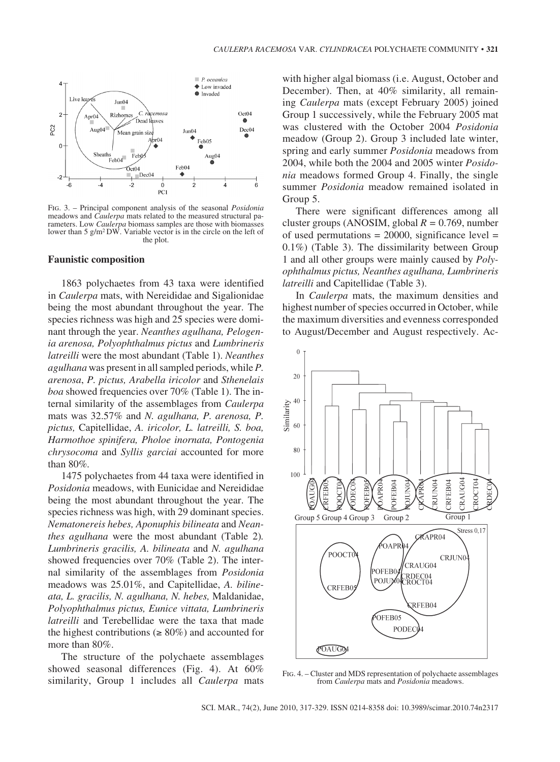

Fig. 3. – Principal component analysis of the seasonal *Posidonia*  meadows and *Caulerpa* mats related to the measured structural parameters. Low *Caulerpa* biomass samples are those with biomasses lower than 5 g/m<sup>2</sup>DW. Variable vector is in the circle on the left of the plot.

#### **Faunistic composition**

1863 polychaetes from 43 taxa were identified in *Caulerpa* mats, with Nereididae and Sigalionidae being the most abundant throughout the year. The species richness was high and 25 species were dominant through the year. *Neanthes agulhana, Pelogenia arenosa, Polyophthalmus pictus* and *Lumbrineris latreilli* were the most abundant (Table 1). *Neanthes agulhana* was present in all sampled periods, while *P. arenosa*, *P. pictus, Arabella iricolor* and *Sthenelais boa* showed frequencies over 70% (Table 1). The internal similarity of the assemblages from *Caulerpa*  mats was 32.57% and *N. agulhana, P. arenosa, P. pictus,* Capitellidae, *A. iricolor, L. latreilli, S. boa, Harmothoe spinifera, Pholoe inornata, Pontogenia chrysocoma* and *Syllis garciai* accounted for more than 80%*.*

1475 polychaetes from 44 taxa were identified in *Posidonia* meadows, with Eunicidae and Nereididae being the most abundant throughout the year. The species richness was high, with 29 dominant species. *Nematonereis hebes, Aponuphis bilineata* and *Neanthes agulhana* were the most abundant (Table 2)*. Lumbrineris gracilis, A. bilineata* and *N. agulhana*  showed frequencies over 70% (Table 2). The internal similarity of the assemblages from *Posidonia*  meadows was 25.01%, and Capitellidae, *A. bilineata, L. gracilis, N. agulhana, N. hebes,* Maldanidae, *Polyophthalmus pictus, Eunice vittata, Lumbrineris latreilli* and Terebellidae were the taxa that made the highest contributions ( $\geq 80\%$ ) and accounted for more than 80%.

The structure of the polychaete assemblages showed seasonal differences (Fig. 4). At 60% similarity, Group 1 includes all *Caulerpa* mats with higher algal biomass (i.e. August, October and December). Then, at 40% similarity, all remaining *Caulerpa* mats (except February 2005) joined Group 1 successively, while the February 2005 mat was clustered with the October 2004 *Posidonia* meadow (Group 2). Group 3 included late winter, spring and early summer *Posidonia* meadows from 2004, while both the 2004 and 2005 winter *Posidonia* meadows formed Group 4. Finally, the single summer *Posidonia* meadow remained isolated in Group 5.

There were significant differences among all cluster groups (ANOSIM, global *R =* 0.769, number of used permutations  $= 20000$ , significance level  $=$ 0.1%) (Table 3). The dissimilarity between Group 1 and all other groups were mainly caused by *Polyophthalmus pictus, Neanthes agulhana, Lumbrineris latreilli* and Capitellidae (Table 3).

In *Caulerpa* mats, the maximum densities and highest number of species occurred in October, while the maximum diversities and evenness corresponded to August/December and August respectively. Ac-



Fig. 4. – Cluster and MDS representation of polychaete assemblages from *Caulerpa* mats and *Posidonia* meadows.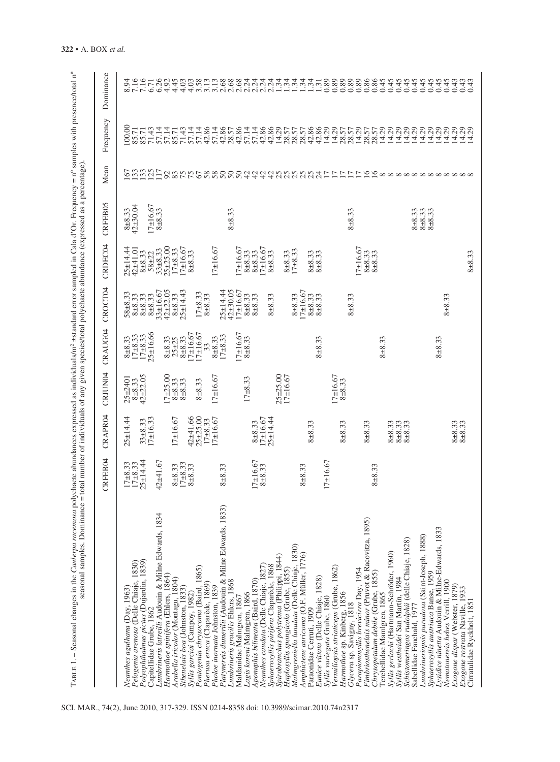|                                                                                                                                   | CRFEB04                                 | <b>CRAPR04</b>                         | <b>CRJUN04</b>                        | CRAUG04                         | <b>CROCT04</b>                 | CRDEC04                                  | CRFEB05                                | Mean                           | Frequency               | Dominance                                                                                                                                                                                                                                                                                                                                                                                                                                                     |
|-----------------------------------------------------------------------------------------------------------------------------------|-----------------------------------------|----------------------------------------|---------------------------------------|---------------------------------|--------------------------------|------------------------------------------|----------------------------------------|--------------------------------|-------------------------|---------------------------------------------------------------------------------------------------------------------------------------------------------------------------------------------------------------------------------------------------------------------------------------------------------------------------------------------------------------------------------------------------------------------------------------------------------------|
| Pelogenia arenosa (Delle Chiaje, 1830)<br>Neanthes agulhana (Day, 1963)                                                           | $17\pm 8.33$<br>$17\pm 8.33$            | $25 + 14.44$                           | $8+8.33$<br>$42+22.05$<br>$25 + 2401$ | $17 + 8.33$<br>$8 + 8.33$       | $58 + 8.33$<br>$8 + 8.33$      | $25 + 14.44$<br>42±41.01                 | $42 + 30.04$<br>$8 + 8.33$             | Ś                              | 100.00<br>85.71         | 8.94                                                                                                                                                                                                                                                                                                                                                                                                                                                          |
| Polyophthalmus pictus (Dujardin, 1839)<br>Capitellidae Grube, 1862                                                                | $25 + 14.44$                            | $17 + 16.33$<br>$33\pm 8.33$           |                                       | $25 + 16.66$<br>$17 + 8.33$     | $8 + 8.33$<br>$8 + 8.33$       | $8 + 8.33$<br>$58 + 22$                  | $17+16.67$                             | $\frac{3335}{17}$              | 71.43<br>85.71          | 7.16<br>6.71                                                                                                                                                                                                                                                                                                                                                                                                                                                  |
| Lumbrineris latreilli Audouin & Milne Edwards, 1834<br>Harmothoe spinifera (Ehlers, 1864)                                         | $42 + 41.67$                            |                                        | $17 + 25.00$                          | $8 + 8.33$<br>$25 + 25$         | $42 + 22.05$<br>$33 \pm 16.67$ | $25 + 25.00$<br>$33\pm 8.33$             | $8 + 8.33$                             |                                | 57.14<br>57.14          | 6.26<br>4.92                                                                                                                                                                                                                                                                                                                                                                                                                                                  |
| Arabella iricolor (Montagu, 1804)<br>Sthenelais boa (Johnston, 1833)                                                              | $17\pm8.33$<br>$8\pm8.33$<br>$8 + 8.33$ | $17 \pm 16.67$                         | $8 + 8.33$<br>$8 + 8.33$              | $8 + 8.33$                      | $25 + 14.43$<br>$8 + 8.33$     | $17 + 16.67$<br>$17 + 8.33$              |                                        |                                | 71.43<br>85.71          | 4.45<br>4.03                                                                                                                                                                                                                                                                                                                                                                                                                                                  |
| Pontogenia chrysocoma (Baird, 1865)<br>Syllis garciai (Campoy, 1982)                                                              |                                         | $25 + 25.00$<br>$42 + 41.66$           | $8 + 8.33$                            | $7 \pm 16.67$<br>$7 \pm 16.67$  | $17 + 8.33$                    | $8 + 8.33$                               |                                        |                                | 57.14<br>57.14          | 4.03                                                                                                                                                                                                                                                                                                                                                                                                                                                          |
| Platynereis dumerilii (Audouin & Milne Edwards, 1833)<br>Pherusa eruca (Claparède, 1869)<br>Pholoe inornata Johnston, 1839        | $8 + 8.33$                              | $17 \pm 16.67$<br>$17 + 8.33$          | $17 + 16.67$                          | $17 + 8.33$<br>$8 + 8.33$<br>33 | $25 + 14.44$<br>$8 + 8.33$     | $17 + 16.67$                             |                                        | S&FFC6888888444488888845555599 | 42.86<br>57.14<br>42.86 | $\begin{array}{l} \text{\tt 8\acute{e}n}\ \text{\tt m\acute{e}n}\ \text{\tt m\acute{e}n}\ \text{\tt m\acute{e}n}\ \text{\tt m\acute{e}n}\ \text{\tt m\acute{e}n}\ \text{\tt m\acute{e}n}\ \text{\tt m\acute{e}n}\ \text{\tt m\acute{e}n}\ \text{\tt m\acute{e}n}\ \text{\tt m\acute{e}n}\ \text{\tt m\acute{e}n}\ \text{\tt m\acute{e}n}\ \text{\tt m\acute{e}n}\ \text{\tt m\acute{e}n}\ \text{\tt m\acute{e}n}\ \text{\tt m\acute{e}n}\ \text{\tt m\acute{$ |
| Lumbrineris gracilis Ehlers, 1868<br>Maldanidae Malmgren, 1867                                                                    |                                         |                                        | $17 + 8.33$                           | $17 \pm 16.67$<br>$8 + 8.33$    | $42\pm30.05$<br>$17+16.67$     | $17 \pm 16.67$                           | $8 + 8.33$                             |                                | 42.86<br>57.14<br>28.57 |                                                                                                                                                                                                                                                                                                                                                                                                                                                               |
| Aponuphis bilineata (Baird, 1870)<br>Lagis koreni Malmgren, 1866                                                                  | $17+16.67$<br>$8 + 8.33$                | $17 \pm 16.67$<br>$8 + 8.33$           |                                       |                                 | $8 + 8.33$<br>$8 + 8.33$       | $17 + 16.67$<br>$8 + 8.33$<br>$8 + 8.33$ |                                        |                                | 57.14<br>42.86          |                                                                                                                                                                                                                                                                                                                                                                                                                                                               |
| Sphaerosyllis pirifera Claparède, 1868<br>Neanthes caudata (Delle Chiaje, 1827                                                    |                                         | $25 + 14.44$                           | $25 + 25.00$                          |                                 | $8 + 8.33$                     | $8 + 8.33$                               |                                        |                                | 42.86<br>14.29<br>28.57 |                                                                                                                                                                                                                                                                                                                                                                                                                                                               |
| Haplosyllis spongicola (Grube, 1855)<br>Malmgreniella lunulata (Delle Chiaje, 1830)<br>Spirobranchus polytrema (Philippi, 1844)   |                                         |                                        | $17 + 16.67$                          |                                 |                                | $8 + 8.33$                               |                                        |                                |                         |                                                                                                                                                                                                                                                                                                                                                                                                                                                               |
| Amphictene auricoma (O.F. Müller, 1776)                                                                                           | $8 + 8.33$                              |                                        |                                       |                                 | $7+16.67$<br>$8 + 8.33$        | $17 + 8.33$                              |                                        |                                | 28.57<br>28.57          |                                                                                                                                                                                                                                                                                                                                                                                                                                                               |
| Eunice vittata (Delle Chiaje, 1828)<br>Paraonidae Cerruti, 1909                                                                   |                                         | $8 + 8.33$                             |                                       | $8 + 8.33$                      | $8 + 8.33$<br>$8 + 8.33$       | $8 + 8.33$<br>$8 + 8.33$                 |                                        |                                | 42.86<br>42.86          |                                                                                                                                                                                                                                                                                                                                                                                                                                                               |
| Vermiliopsis striaticeps (Grube, 1862)<br>Syllis variegata Grube, 1860                                                            | $17+16.67$                              |                                        | $17 \pm 16.67$                        |                                 |                                |                                          |                                        |                                | 14.29                   |                                                                                                                                                                                                                                                                                                                                                                                                                                                               |
| Harmothoe sp. Kinberg, 1856<br>Glycera sp. Savigny, 1818                                                                          |                                         | $8 + 8.33$                             | $8 + 8.33$                            |                                 | $8 + 8.33$                     |                                          | $8 + 8.33$                             |                                | $\frac{14.29}{28.57}$   | $\frac{0.89}{0.89}$                                                                                                                                                                                                                                                                                                                                                                                                                                           |
| Fimbriosthenelais minor (Pruvot & Racovitza, 1895)<br>Parapionosyllis brevicirra Day, 1954                                        |                                         | $8 + 8.33$                             |                                       |                                 |                                | $17+16.67$                               |                                        |                                | 14.29                   | 8888<br>0000                                                                                                                                                                                                                                                                                                                                                                                                                                                  |
| Chrysopetalum debile (Grube, 1855)<br>Terebellidae Mamlgren, 1865                                                                 | $8 + 8.33$                              |                                        |                                       | $8 + 8.33$                      |                                | $8 + 8.33$<br>$8 + 8.33$                 |                                        |                                | 14.29<br>28.57<br>28.57 | 0.45                                                                                                                                                                                                                                                                                                                                                                                                                                                          |
| Schistomeringos rudolphii (delle Chiaje, 1828)<br>Syllis gerlachi (Hartmann-Schröder, 1960)<br>Syllis westheidei San Martín, 1984 |                                         | $8 + 8.33$<br>$8 + 8.33$<br>$8 + 8.33$ |                                       |                                 |                                |                                          |                                        |                                | 14.29<br>14.29<br>14.29 | 4445000                                                                                                                                                                                                                                                                                                                                                                                                                                                       |
| Lumbrineriopsis paradoxa (Saint-Joseph, 1888)<br>Sphaerosyllis austriaca Banse, 1959<br>Sabellidae Fauchald, 197                  |                                         |                                        |                                       |                                 |                                |                                          | $8 + 8.33$<br>$8 + 8.33$<br>$8 + 8.33$ |                                | 14.29<br>14.29          | 0.45<br>0.45                                                                                                                                                                                                                                                                                                                                                                                                                                                  |
| Lysidice ninetta Audouin & Milne-Edwards, 1833<br>Nematonereis hebes Verrill, 1900<br>Exogone dispar (Webster, 1879)              |                                         | $8 + 8.33$<br>$8 + 8.33$               |                                       | $8 + 8.33$                      | $8 + 8.33$                     |                                          |                                        |                                | 14.29<br>14.29<br>14.29 | 0.45<br>0.45<br>0.43                                                                                                                                                                                                                                                                                                                                                                                                                                          |
| Exogone rostrata Naville, 1933<br>Cirratulidae Ryckholt, 1851                                                                     |                                         |                                        |                                       |                                 |                                | $8 + 8.33$                               |                                        |                                | 14.29<br>29<br>Ξ        | 0.43                                                                                                                                                                                                                                                                                                                                                                                                                                                          |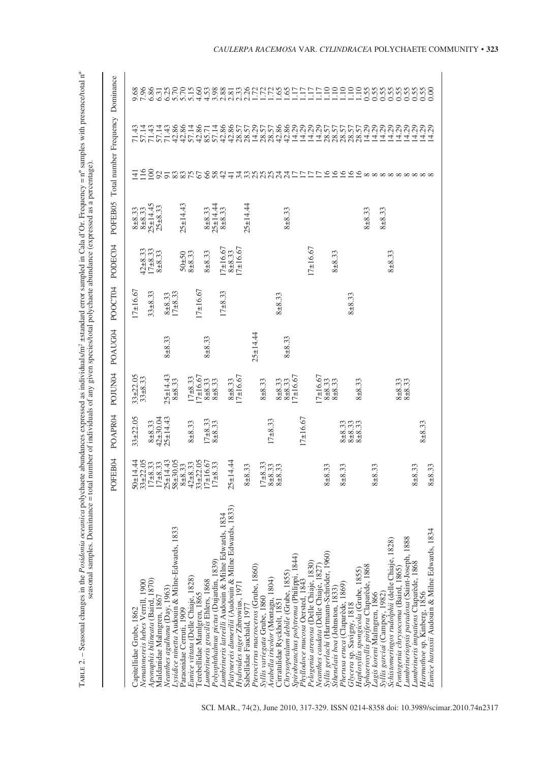| i<br>i<br>$-1.1$<br>c serith ex<br>$\overline{\phantom{a}}$<br>autor $y = n'$ sampl<br>í<br>ļ<br>エー・ロー<br>l<br>١<br>ś<br>š<br>$\frac{1}{2}$<br><b>WAS CLEAR IN IT IS NOT AND AND I</b><br>Ş<br>Ì<br>۔<br>بہ<br>i<br>3<br>C#C#C<br>lm 4 -<br>$\frac{1}{2}$<br>$\overline{1}$<br>5<br>$-2.7$<br>i<br><b>Contract</b><br>a avenuence ac<br>j<br>c<br>haete.<br>ı<br>ć<br>l<br>I | ho ma<br>$\frac{1}{2}$<br>S<br>C<br>C<br>ś<br><b>TERMONTA</b><br>j<br>j<br>Š<br>i<br>j<br>0.01222<br>ì<br>$\frac{1}{2}$<br>¢<br>١<br>$\sim$<br>.<br>Crea<br>or any my one<br>where king you<br>J<br>i<br>number of<br>otal<br>$\mathsf{I}$<br>ł<br>I |
|------------------------------------------------------------------------------------------------------------------------------------------------------------------------------------------------------------------------------------------------------------------------------------------------------------------------------------------------------------------------------|------------------------------------------------------------------------------------------------------------------------------------------------------------------------------------------------------------------------------------------------------|
| ļ<br>I                                                                                                                                                                                                                                                                                                                                                                       |                                                                                                                                                                                                                                                      |

| scasonai sampics. Dominiance -                                                                                                                                                                                                                                    |                                                                             |                                                     |                                                          | "Common and the conduction of the common and the common state in the common state of the common and the common state of the common state of the common state of the common state of the common state of the common state of th |                              |                                      |                                                         |                                                            |                                                                                                    |                                             |
|-------------------------------------------------------------------------------------------------------------------------------------------------------------------------------------------------------------------------------------------------------------------|-----------------------------------------------------------------------------|-----------------------------------------------------|----------------------------------------------------------|--------------------------------------------------------------------------------------------------------------------------------------------------------------------------------------------------------------------------------|------------------------------|--------------------------------------|---------------------------------------------------------|------------------------------------------------------------|----------------------------------------------------------------------------------------------------|---------------------------------------------|
|                                                                                                                                                                                                                                                                   | POFEB04                                                                     | POAPR04                                             | POJUN04                                                  | POAUG04                                                                                                                                                                                                                        | POOCT04                      | PODEC04                              | POFEB05                                                 | Total number Frequency Dominance                           |                                                                                                    |                                             |
| Aponuphis bilineata (Baird, 1870)<br>Vematonereis hebes Verrill, 1900<br>Maldanidae Malmgren, 1867<br>Capitellidae Grube, 1862                                                                                                                                    | 50±14.44<br>33±22.05<br>$17+8.33$<br>$17+8.33$                              | $33 + 22.05$<br>$8\pm 8.33$<br>42±30.04<br>25±14.43 | $33\pm 22.05$<br>$33\pm 8.33$                            |                                                                                                                                                                                                                                | $17+16.67$<br>$33 + 8.33$    | $42+8.33$<br>$17+8.33$<br>$8 + 8.33$ | $25 + 14.45$<br>$25 + 8.33$<br>$8 + 8.33$<br>$8 + 8.33$ | $\overline{16}$<br>$\geq$<br>三                             | 57.14<br>71.43<br>57.14<br>71.43                                                                   | 6.86<br>9.68<br>7.96                        |
| Lysidice ninetta Audouin & Milne-Edwards, 1833<br>Eunice vittata (Delle Chiaje, 1828)<br>Neanthes agulhana (Day, 1963)<br>Paraonidae Cerruti, 1909                                                                                                                | $25 + 14.43$<br>$58 + 30.05$<br>$42\pm 8.33$<br>$33\pm 22.05$<br>$8 + 8.33$ | $8 + 8.33$                                          | $25 + 14.43$<br>$17 + 8.33$<br>$8 + 8.33$                | $8 + 8.33$                                                                                                                                                                                                                     | $8 + 8.33$<br>17 + 8.33      | $8 + 8.33$<br>$50 + 50$              | $25 + 14.43$                                            |                                                            | 42.86<br>42.86<br>71.43                                                                            |                                             |
| Lumbrineris latreilli Audouin & Milne Edwards, 1834<br>Polyophthalmus pictus (Dujardin, 1839)<br>Lumbrineris gracilis Ehlers, 1868<br>Terebellidae Mamlgren, 1865                                                                                                 | $17 + 16.67$<br>$17 + 8.33$                                                 | $17\pm 8.33$<br>$8\pm 8.33$                         | $7 + 16.67$<br>$8 + 8.33$<br>$8 + 8.33$                  | $8 + 8.33$                                                                                                                                                                                                                     | $7 \pm 16.67$<br>$17 + 8.33$ | $17 \pm 16.67$<br>$8 + 8.33$         | $25 + 14.44$<br>$8 + 8.33$<br>$8 + 8.33$                |                                                            | 57.14<br>42.86<br>42.86<br>57.14<br>42.86<br>85.71                                                 |                                             |
| Platynereis dumerilii (Audouin & Milne Edwards, 1833)<br>Pterocirrus macroceros (Grube, 1860)<br>Hydroides niger Zibrowius, 1971<br>Sabellidae Fauchald, 1977                                                                                                     | $25 - 14.44$<br>$8 + 8.33$                                                  |                                                     | $17 \pm 16.67$<br>$8 + 8.33$                             | $25 + 14.44$                                                                                                                                                                                                                   |                              | $17 \pm 16.67$<br>$8 + 8.33$         | $25 + 14.44$                                            |                                                            |                                                                                                    |                                             |
| Spirobranchus polytrema (Philippi, 1844)<br>Chrysopetalum debile (Grube, 1855)<br>Arabella iricolor (Montagu, 1804)<br>Syllis variegata Grube, 1860<br>Cirratulidae Ryckholt, 1851                                                                                | $17+8.33$<br>$8 + 8.33$<br>$8 + 8.33$                                       | $17 + 8.33$                                         | $17 \pm 16.67$<br>$8 + 8.33$<br>$8 + 8.33$<br>$8 + 8.33$ | $8 + 8.33$                                                                                                                                                                                                                     | $8 + 8.33$                   |                                      | $8 + 8.33$                                              |                                                            | 28.57<br>28.57<br>28.57<br>28.57<br>42.84<br>42.86<br>14.29                                        |                                             |
| Syllis gerlachi (Hartmann-Schröder, 1960)<br>Pelogenia arenosa (Delle Chiaje, 1830)<br>Neanthes caudata (Delle Chiaje, 1827<br>Phyllodoce mucosa Oersted, 1843<br>Pherusa eruca (Claparède, 1869)<br>Sthenelais boa (Johnston, 1833)<br>Glycera sp. Savigny, 1818 | $8 + 8.33$<br>$8 + 8.33$                                                    | $17 + 16.67$<br>$8 + 8.33$<br>$8 + 8.33$            | $7+16.67$<br>$8 + 8.33$<br>$8 + 8.33$                    |                                                                                                                                                                                                                                | $8 + 8.33$                   | $17 + 16.67$<br>$8 + 8.33$           |                                                         | 9.5.88.9.4の6.8お44名名名ななみなけけけに19.9.9.9.9 8 8 8 8 8 8 8 8 8 8 | 14.29<br>14.29<br>14.29<br>28.57<br>28.57<br>28.57                                                 | TACCHOM SE ERRACHE HELLE HELLE HEOGOOOOOOOO |
| Schistomeringos rudolphii (delle Chiaje, 1828)<br>Sphaerosyllis pirifera Claparède, 1868<br>Pontogenia chrysocoma (Baird, 1865)<br>Haplosyllis spongicola (Grube, 1855)<br>Syllis garciai (Campoy, 1982)<br>Lagis koreni Malmgren, 1866                           | $8 + 8.33$                                                                  | $8 + 8.33$                                          | $8 + 8.33$<br>$8 + 8.33$<br>$8 + 8.33$                   |                                                                                                                                                                                                                                |                              | $8 + 8.33$                           | $8 + 8.33$<br>$8 + 8.33$                                |                                                            | 28.57<br>14.29<br>14.29<br>$\begin{array}{c} 29 \\ 230 \\ 141 \\ 29 \\ 141 \\ 29 \\ 1 \end{array}$ |                                             |
| Eunice harassii Audouin & Milne Edwards, 1834<br>Lumbrineriopsis paradoxa (Saint-Joseph, 1888<br>Lumbrineris impatiens Claparede, 1868<br>Harmothoe sp. Kinberg, 1856                                                                                             | $8 + 8.33$<br>$8 + 8.33$                                                    | $8 + 8.33$                                          |                                                          |                                                                                                                                                                                                                                |                              |                                      |                                                         |                                                            | 14.29<br>14.29                                                                                     |                                             |

SCI. MAR., 74(2), June 2010, 317-329. ISSN 0214-8358 doi: 10.3989/scimar.2010.74n2317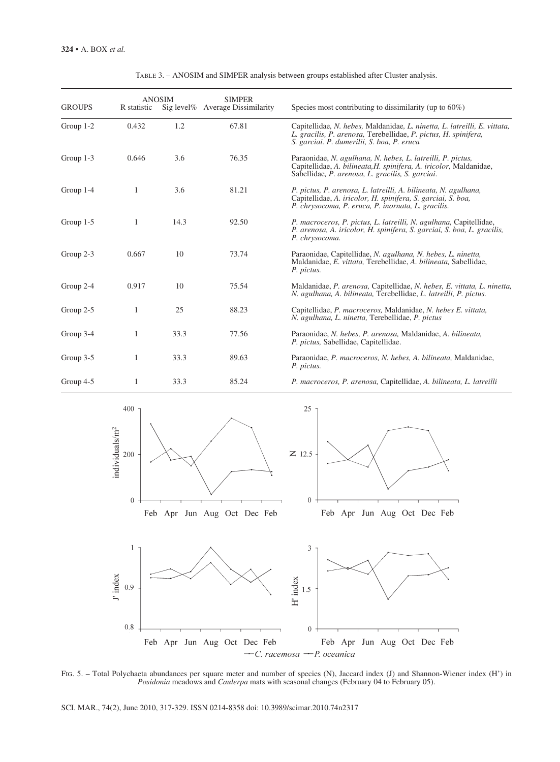| <b>GROUPS</b> | R statistic | <b>ANOSIM</b> | <b>SIMPER</b><br>Sig level% Average Dissimilarity | Species most contributing to dissimilarity (up to $60\%$ )                                                                                                                                 |
|---------------|-------------|---------------|---------------------------------------------------|--------------------------------------------------------------------------------------------------------------------------------------------------------------------------------------------|
| Group $1-2$   | 0.432       | 1.2           | 67.81                                             | Capitellidae, N. hebes, Maldanidae, L. ninetta, L. latreilli, E. vittata,<br>L. gracilis, P. arenosa, Terebellidae, P. pictus, H. spinifera,<br>S. garciai. P. dumerilii, S. boa, P. eruca |
| Group $1-3$   | 0.646       | 3.6           | 76.35                                             | Paraonidae, N. agulhana, N. hebes, L. latreilli, P. pictus,<br>Capitellidae, A. bilineata, H. spinifera, A. iricolor, Maldanidae,<br>Sabellidae, P. arenosa, L. gracilis, S. garciai.      |
| Group 1-4     | 1           | 3.6           | 81.21                                             | P. pictus, P. arenosa, L. latreilli, A. bilineata, N. agulhana,<br>Capitellidae, A. iricolor, H. spinifera, S. garciai, S. boa,<br>P. chrysocoma, P. eruca, P. inornata, L. gracilis.      |
| Group 1-5     | 1           | 14.3          | 92.50                                             | P. macroceros, P. pictus, L. latreilli, N. agulhana, Capitellidae,<br>P. arenosa, A. iricolor, H. spinifera, S. garciai, S. boa, L. gracilis,<br>P. chrysocoma.                            |
| Group 2-3     | 0.667       | 10            | 73.74                                             | Paraonidae, Capitellidae, N. agulhana, N. hebes, L. ninetta,<br>Maldanidae, E. vittata, Terebellidae, A. bilineata, Sabellidae,<br>P. pictus.                                              |
| Group 2-4     | 0.917       | 10            | 75.54                                             | Maldanidae, P. arenosa, Capitellidae, N. hebes, E. vittata, L. ninetta,<br>N. agulhana, A. bilineata, Terebellidae, L. latreilli, P. pictus.                                               |
| Group 2-5     | 1           | 25            | 88.23                                             | Capitellidae, P. macroceros, Maldanidae, N. hebes E. vittata,<br>N. agulhana, L. ninetta, Terebellidae, P. pictus                                                                          |
| Group 3-4     | 1           | 33.3          | 77.56                                             | Paraonidae, N. hebes, P. arenosa, Maldanidae, A. bilineata,<br>P. pictus, Sabellidae, Capitellidae.                                                                                        |
| Group 3-5     | 1           | 33.3          | 89.63                                             | Paraonidae, P. macroceros, N. hebes, A. bilineata, Maldanidae,<br>P. pictus.                                                                                                               |
| Group 4-5     | 1           | 33.3          | 85.24                                             | P. macroceros, P. arenosa, Capitellidae, A. bilineata, L. latreilli                                                                                                                        |

Table 3. – ANOSIM and SIMPER analysis between groups established after Cluster analysis.



Fig. 5. – Total Polychaeta abundances per square meter and number of species (N), Jaccard index (J) and Shannon-Wiener index (H') in *Posidonia* meadows and *Caulerpa* mats with seasonal changes (February 04 to February 05).

SCI. MAR., 74(2), June 2010, 317-329. ISSN 0214-8358 doi: 10.3989/scimar.2010.74n2317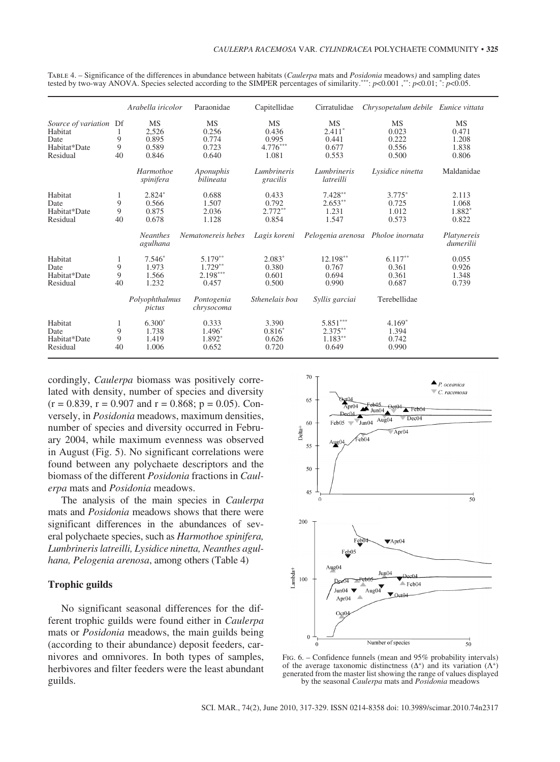|                                                                    |                    | Arabella iricolor                             | Paraonidae                                     | Capitellidae                                       | Cirratulidae                                   | Chrysopetalum debile Eunice vittata           |                                               |
|--------------------------------------------------------------------|--------------------|-----------------------------------------------|------------------------------------------------|----------------------------------------------------|------------------------------------------------|-----------------------------------------------|-----------------------------------------------|
| Source of variation<br>Habitat<br>Date<br>Habitat*Date<br>Residual | Df<br>9<br>9<br>40 | <b>MS</b><br>2,526<br>0.895<br>0.589<br>0.846 | <b>MS</b><br>0.256<br>0.774<br>0.723<br>0.640  | <b>MS</b><br>0.436<br>0.995<br>$4.776***$<br>1.081 | MS<br>$2.411*$<br>0.441<br>0.677<br>0.553      | <b>MS</b><br>0.023<br>0.222<br>0.556<br>0.500 | <b>MS</b><br>0.471<br>1.208<br>1.838<br>0.806 |
|                                                                    |                    | Harmothoe<br>spinifera                        | Aponuphis<br>bilineata                         | Lumbrineris<br>gracilis                            | Lumbrineris<br>latreilli                       | Lysidice ninetta                              | Maldanidae                                    |
| Habitat<br>Date<br>Habitat*Date<br>Residual                        | 1<br>9<br>9<br>40  | $2.824*$<br>0.566<br>0.875<br>0.678           | 0.688<br>1.507<br>2.036<br>1.128               | 0.433<br>0.792<br>$2.772**$<br>0.854               | $7.428**$<br>$2.653**$<br>1.231<br>1.547       | $3.775*$<br>0.725<br>1.012<br>0.573           | 2.113<br>1.068<br>1.882*<br>0.822             |
|                                                                    |                    | <b>Neanthes</b><br>agulhana                   | Nematonereis hebes                             | Lagis koreni                                       |                                                | Pelogenia arenosa Pholoe inornata             | Platynereis<br>dumerilii                      |
| Habitat<br>Date<br>Habitat*Date<br>Residual                        | 1<br>9<br>9<br>40  | $7.546*$<br>1.973<br>1.566<br>1.232           | 5.179**<br>$1.729**$<br>$2.198***$<br>0.457    | $2.083*$<br>0.380<br>0.601<br>0.500                | $12.198**$<br>0.767<br>0.694<br>0.990          | $6.117**$<br>0.361<br>0.361<br>0.687          | 0.055<br>0.926<br>1.348<br>0.739              |
|                                                                    |                    | Polyophthalmus<br>pictus                      | Pontogenia<br>chrysocoma                       | Sthenelais boa                                     | Syllis garciai                                 | Terebellidae                                  |                                               |
| Habitat<br>Date<br>Habitat*Date<br>Residual                        | 1<br>9<br>9<br>40  | $6.300*$<br>1.738<br>1.419<br>1.006           | 0.333<br>1.496 <sup>*</sup><br>1.892*<br>0.652 | 3.390<br>$0.816*$<br>0.626<br>0.720                | $5.851***$<br>$2.375***$<br>$1.183**$<br>0.649 | $4.169*$<br>1.394<br>0.742<br>0.990           |                                               |

Table 4. – Significance of the differences in abundance between habitats (*Caulerpa* mats and *Posidonia* meadows*)* and sampling dates tested by two-way ANOVA. Species selected according to the SIMPER percentages of similarity.\*\*\*: *p*<0.001 ,\*\*: *p*<0.01; \*: *p*<0.05.

cordingly, *Caulerpa* biomass was positively correlated with density, number of species and diversity  $(r = 0.839, r = 0.907 \text{ and } r = 0.868; p = 0.05)$ . Conversely, in *Posidonia* meadows, maximum densities, number of species and diversity occurred in February 2004, while maximum evenness was observed in August (Fig. 5). No significant correlations were found between any polychaete descriptors and the biomass of the different *Posidonia* fractions in *Caulerpa* mats and *Posidonia* meadows.

The analysis of the main species in *Caulerpa*  mats and *Posidonia* meadows shows that there were significant differences in the abundances of several polychaete species, such as *Harmothoe spinifera, Lumbrineris latreilli, Lysidice ninetta, Neanthes agulhana, Pelogenia arenosa*, among others (Table 4)

# **Trophic guilds**

No significant seasonal differences for the different trophic guilds were found either in *Caulerpa* mats or *Posidonia* meadows, the main guilds being (according to their abundance) deposit feeders, carnivores and omnivores. In both types of samples, herbivores and filter feeders were the least abundant guilds.



Fig. 6. – Confidence funnels (mean and 95% probability intervals) of the average taxonomic distinctness  $(Δ<sup>+</sup>)$  and its variation  $(Λ<sup>+</sup>)$ generated from the master list showing the range of values displayed by the seasonal *Caulerpa* mats and *Posidonia* meadows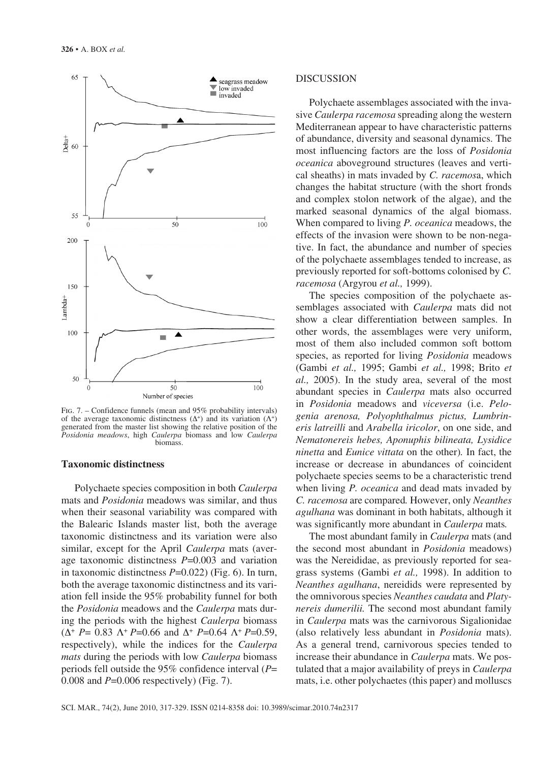

Fig. 7. – Confidence funnels (mean and 95% probability intervals) of the average taxonomic distinctness  $(Δ<sup>+</sup>)$  and its variation  $(Λ<sup>+</sup>)$ generated from the master list showing the relative position of the *Posidonia meadows*, high *Caulerpa* biomass and low *Caulerpa*  biomass.

#### **Taxonomic distinctness**

Polychaete species composition in both *Caulerpa*  mats and *Posidonia* meadows was similar, and thus when their seasonal variability was compared with the Balearic Islands master list, both the average taxonomic distinctness and its variation were also similar, except for the April *Caulerpa* mats (average taxonomic distinctness *P*=0.003 and variation in taxonomic distinctness *P*=0.022) (Fig. 6). In turn, both the average taxonomic distinctness and its variation fell inside the 95% probability funnel for both the *Posidonia* meadows and the *Caulerpa* mats during the periods with the highest *Caulerpa* biomass (Δ<sup>+</sup> *P*= 0.83 Λ<sup>+</sup>*P*=0.66 and Δ<sup>+</sup> *P*=0.64 Λ<sup>+</sup>*P*=0.59, respectively), while the indices for the *Caulerpa mats* during the periods with low *Caulerpa* biomass periods fell outside the 95% confidence interval (*P*= 0.008 and *P*=0.006 respectively) (Fig. 7).

## DISCUSSION

Polychaete assemblages associated with the invasive *Caulerpa racemosa* spreading along the western Mediterranean appear to have characteristic patterns of abundance, diversity and seasonal dynamics. The most influencing factors are the loss of *Posidonia oceanica* aboveground structures (leaves and vertical sheaths) in mats invaded by *C. racemos*a, which changes the habitat structure (with the short fronds and complex stolon network of the algae), and the marked seasonal dynamics of the algal biomass. When compared to living *P. oceanica* meadows, the effects of the invasion were shown to be non-negative. In fact, the abundance and number of species of the polychaete assemblages tended to increase, as previously reported for soft-bottoms colonised by *C. racemosa* (Argyrou *et al.,* 1999).

The species composition of the polychaete assemblages associated with *Caulerpa* mats did not show a clear differentiation between samples. In other words, the assemblages were very uniform, most of them also included common soft bottom species, as reported for living *Posidonia* meadows (Gambi *et al.,* 1995; Gambi *et al.,* 1998; Brito *et al.,* 2005). In the study area, several of the most abundant species in *Caulerpa* mats also occurred in *Posidonia* meadows and *viceversa* (i.e. *Pelogenia arenosa, Polyophthalmus pictus, Lumbrineris latreilli* and *Arabella iricolor*, on one side, and *Nematonereis hebes, Aponuphis bilineata, Lysidice ninetta* and *Eunice vittata* on the other)*.* In fact, the increase or decrease in abundances of coincident polychaete species seems to be a characteristic trend when living *P. oceanica* and dead mats invaded by *C. racemosa* are compared*.* However, only *Neanthes agulhana* was dominant in both habitats, although it was significantly more abundant in *Caulerpa* mats*.*

The most abundant family in *Caulerpa* mats (and the second most abundant in *Posidonia* meadows) was the Nereididae, as previously reported for seagrass systems (Gambi *et al.,* 1998). In addition to *Neanthes agulhana*, nereidids were represented by the omnivorous species *Neanthes caudata* and *Platynereis dumerilii.* The second most abundant family in *Caulerpa* mats was the carnivorous Sigalionidae (also relatively less abundant in *Posidonia* mats). As a general trend, carnivorous species tended to increase their abundance in *Caulerpa* mats. We postulated that a major availability of preys in *Caulerpa*  mats, i.e. other polychaetes (this paper) and molluscs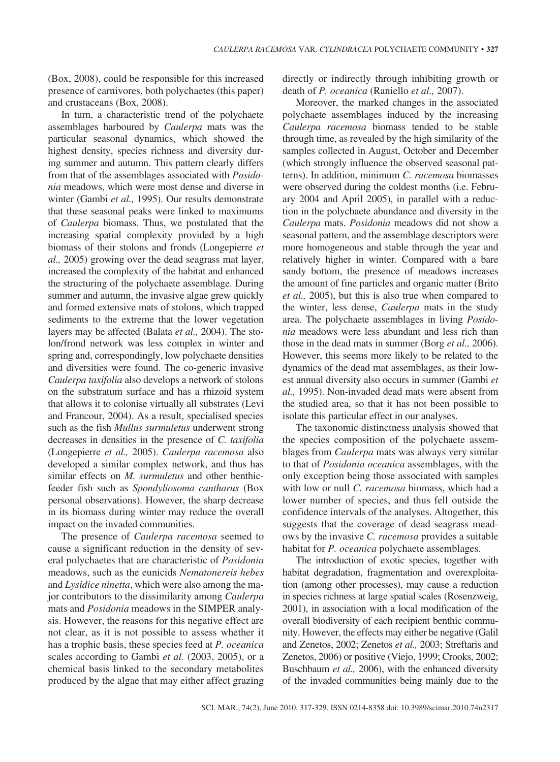(Box, 2008), could be responsible for this increased presence of carnivores, both polychaetes (this paper) and crustaceans (Box, 2008).

In turn, a characteristic trend of the polychaete assemblages harboured by *Caulerpa* mats was the particular seasonal dynamics, which showed the highest density, species richness and diversity during summer and autumn. This pattern clearly differs from that of the assemblages associated with *Posidonia* meadows, which were most dense and diverse in winter (Gambi *et al.,* 1995). Our results demonstrate that these seasonal peaks were linked to maximums of *Caulerpa* biomass. Thus, we postulated that the increasing spatial complexity provided by a high biomass of their stolons and fronds (Longepierre *et al.,* 2005) growing over the dead seagrass mat layer, increased the complexity of the habitat and enhanced the structuring of the polychaete assemblage. During summer and autumn, the invasive algae grew quickly and formed extensive mats of stolons, which trapped sediments to the extreme that the lower vegetation layers may be affected (Balata *et al.,* 2004). The stolon/frond network was less complex in winter and spring and, correspondingly, low polychaete densities and diversities were found. The co-generic invasive *Caulerpa taxifolia* also develops a network of stolons on the substratum surface and has a rhizoid system that allows it to colonise virtually all substrates (Levi and Francour, 2004). As a result, specialised species such as the fish *Mullus surmuletus* underwent strong decreases in densities in the presence of *C. taxifolia* (Longepierre *et al.,* 2005). *Caulerpa racemosa* also developed a similar complex network, and thus has similar effects on *M. surmuletus* and other benthicfeeder fish such as *Spondyliosoma cantharus* (Box personal observations). However, the sharp decrease in its biomass during winter may reduce the overall impact on the invaded communities.

The presence of *Caulerpa racemosa* seemed to cause a significant reduction in the density of several polychaetes that are characteristic of *Posidonia*  meadows, such as the eunicids *Nematonereis hebes*  and *Lysidice ninetta*, which were also among the major contributors to the dissimilarity among *Caulerpa* mats and *Posidonia* meadows in the SIMPER analysis. However, the reasons for this negative effect are not clear, as it is not possible to assess whether it has a trophic basis, these species feed at *P. oceanica*  scales according to Gambi *et al.* (2003, 2005), or a chemical basis linked to the secondary metabolites produced by the algae that may either affect grazing

directly or indirectly through inhibiting growth or death of *P. oceanica* (Raniello *et al.,* 2007).

Moreover, the marked changes in the associated polychaete assemblages induced by the increasing *Caulerpa racemosa* biomass tended to be stable through time, as revealed by the high similarity of the samples collected in August, October and December (which strongly influence the observed seasonal patterns). In addition, minimum *C. racemosa* biomasses were observed during the coldest months (i.e. February 2004 and April 2005), in parallel with a reduction in the polychaete abundance and diversity in the *Caulerpa* mats. *Posidonia* meadows did not show a seasonal pattern, and the assemblage descriptors were more homogeneous and stable through the year and relatively higher in winter. Compared with a bare sandy bottom, the presence of meadows increases the amount of fine particles and organic matter (Brito *et al.,* 2005), but this is also true when compared to the winter, less dense, *Caulerpa* mats in the study area. The polychaete assemblages in living *Posidonia* meadows were less abundant and less rich than those in the dead mats in summer (Borg *et al.,* 2006). However, this seems more likely to be related to the dynamics of the dead mat assemblages, as their lowest annual diversity also occurs in summer (Gambi *et al.,* 1995). Non-invaded dead mats were absent from the studied area, so that it has not been possible to isolate this particular effect in our analyses.

The taxonomic distinctness analysis showed that the species composition of the polychaete assemblages from *Caulerpa* mats was always very similar to that of *Posidonia oceanica* assemblages, with the only exception being those associated with samples with low or null *C. racemosa* biomass, which had a lower number of species, and thus fell outside the confidence intervals of the analyses. Altogether, this suggests that the coverage of dead seagrass meadows by the invasive *C. racemosa* provides a suitable habitat for *P. oceanica* polychaete assemblages.

The introduction of exotic species, together with habitat degradation, fragmentation and overexploitation (among other processes), may cause a reduction in species richness at large spatial scales (Rosenzweig, 2001), in association with a local modification of the overall biodiversity of each recipient benthic community. However, the effects may either be negative (Galil and Zenetos, 2002; Zenetos *et al.,* 2003; Streftaris and Zenetos, 2006) or positive (Viejo, 1999; Crooks, 2002; Buschbaum *et al.,* 2006), with the enhanced diversity of the invaded communities being mainly due to the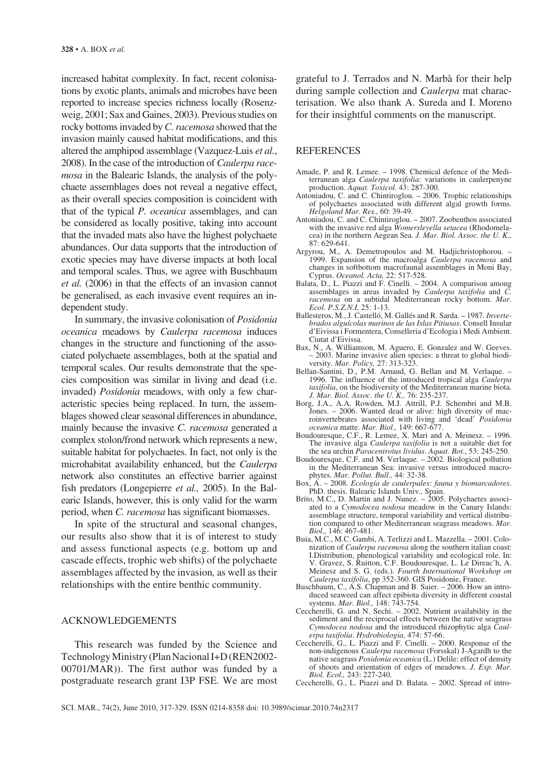increased habitat complexity. In fact, recent colonisations by exotic plants, animals and microbes have been reported to increase species richness locally (Rosenzweig, 2001; Sax and Gaines, 2003). Previous studies on rocky bottoms invaded by *C. racemosa* showed that the invasion mainly caused habitat modifications, and this altered the amphipod assemblage (Vazquez-Luis *et al.*, 2008). In the case of the introduction of *Caulerpa racemosa* in the Balearic Islands, the analysis of the polychaete assemblages does not reveal a negative effect, as their overall species composition is coincident with that of the typical *P. oceanica* assemblages, and can be considered as locally positive, taking into account that the invaded mats also have the highest polychaete abundances. Our data supports that the introduction of exotic species may have diverse impacts at both local and temporal scales. Thus, we agree with Buschbaum *et al.* (2006) in that the effects of an invasion cannot be generalised, as each invasive event requires an independent study.

In summary, the invasive colonisation of *Posidonia oceanica* meadows by *Caulerpa racemosa* induces changes in the structure and functioning of the associated polychaete assemblages, both at the spatial and temporal scales. Our results demonstrate that the species composition was similar in living and dead (i.e. invaded) *Posidonia* meadows, with only a few characteristic species being replaced. In turn, the assemblages showed clear seasonal differences in abundance, mainly because the invasive *C. racemosa* generated a complex stolon/frond network which represents a new, suitable habitat for polychaetes. In fact, not only is the microhabitat availability enhanced, but the *Caulerpa* network also constitutes an effective barrier against fish predators (Longepierre *et al.,* 2005). In the Balearic Islands, however, this is only valid for the warm period, when *C. racemosa* has significant biomasses.

In spite of the structural and seasonal changes, our results also show that it is of interest to study and assess functional aspects (e.g. bottom up and cascade effects, trophic web shifts) of the polychaete assemblages affected by the invasion*,* as well as their relationships with the entire benthic community.

# ACKNOWLEDGEMENTS

This research was funded by the Science and Technology Ministry (Plan Nacional I+D (REN2002- 00701/MAR)). The first author was funded by a postgraduate research grant I3P FSE. We are most

grateful to J. Terrados and N. Marbà for their help during sample collection and *Caulerpa* mat characterisation. We also thank A. Sureda and I. Moreno for their insightful comments on the manuscript.

## **REFERENCES**

- Amade, P. and R. Lemee. 1998. Chemical defence of the Mediterranean alga *Caulerpa taxifolia*: variations in caulerpenyne production. *Aquat. Toxicol.* 43: 287-300.
- Antoniadou, C. and C. Chintiroglou. 2006. Trophic relationships of polychaetes associated with different algal growth forms. *Helgoland Mar. Res.,* 60: 39-49.
- Antoniadou, C. and C. Chintiroglou. 2007. Zoobenthos associated with the invasive red alga *Womersleyella setacea* (Rhodomelacea) in the northern Aegean Sea. *J. Mar. Biol. Assoc. the U. K.*, 87: 629-641.
- Argyrou, M., A. Demetropoulos and M. Hadjichristophorou. 1999. Expansion of the macroalga *Caulerpa racemosa* and changes in softbottom macrofaunal assemblages in Moni Bay, Cyprus. *Oceanol. Acta,* 22: 517-528.
- Balata, D., L. Piazzi and F. Cinelli. 2004. A comparison among assemblages in areas invaded by *Caulerpa taxifolia* and *C. racemosa* on a subtidal Mediterranean rocky bottom. *Mar. Ecol. P.S.Z.N.I,* 25: 1-13.
- Ballesteros, M., J. Castelló, M. Gallés and R. Sarda. 1987. *Invertebrados alguícolas marinos de las Islas Pitiusas*. Consell Insular d'Eivissa i Formentera, Conselleria d'Ecologia i Medi Ambient. Ciutat d'Eivissa.
- Bax, N., A. Williamson, M. Aguero, E. Gonzalez and W. Geeves. – 2003. Marine invasive alien species: a threat to global biodiversity. *Mar. Policy,* 27: 313-323.
- Bellan-Santini, D., P.M. Arnaud, G. Bellan and M. Verlaque. 1996. The influence of the introduced tropical alga *Caulerpa taxifolia*, on the biodiversity of the Mediterranean marine biota. *J. Mar. Biol. Assoc. the U. K.,* 76: 235-237.
- Borg, J.A., A.A. Rowden, M.J. Attrill, P.J. Schembri and M.B. Jones. – 2006. Wanted dead or alive: high diversity of macroinvertebrates associated with living and 'dead' *Posidonia oceanica* matte. *Mar. Biol.,* 149: 667-677.
- Boudouresque, C.F., R. Lemee, X. Mari and A. Meinesz. 1996. The invasive alga *Caulerpa taxifolia* is not a suitable diet for the sea urchin *Paracentrotus lividus*. *Aquat. Bot*., 53: 245-250.
- Boudouresque, C.F. and M. Verlaque. 2002. Biological pollution in the Mediterranean Sea: invasive versus introduced macrophytes. *Mar. Pollut. Bull.,* 44: 32-38.
- Box, A. 2008. *Ecología de caulerpales: fauna y biomarcadores*. PhD. thesis. Balearic Islands Univ*.,* Spain.
- Brito, M.C., D. Martin and J. Nunez.  $-$  2005. Polychaetes associated to a *Cymodocea nodosa* meadow in the Canary Islands: assemblage structure, temporal variability and vertical distribution compared to other Mediterranean seagrass meadows. *Mar. Biol.,* 146: 467-481.
- Buia, M.C., M.C. Gambi, A. Terlizzi and L. Mazzella. 2001. Colonization of *Caulerpa racemosa* along the southern italian coast: I.Distribution, phenological variability and ecological role. In: V. Gravez, S. Ruitton, C.F. Boudouresque, L. Le Direac'h, A. Meinesz and S. G. (eds.). *Fourth International Workshop on Caulerpa taxifolia*, pp 352-360. GIS Posidonie, France.
- Buschbaum, C., A.S. Chapman and B. Saier. 2006. How an introduced seaweed can affect epibiota diversity in different coastal systems. *Mar. Biol.,* 148: 743-754.
- Ceccherelli, G. and N. Sechi. 2002. Nutrient availability in the sediment and the reciprocal effects between the native seagrass *Cymodocea nodosa* and the introduced rhizophytic alga *Caulerpa taxifolia*. *Hydrobiologia,* 474: 57-66.
- Ceccherelli, G., L. Piazzi and F. Cinelli. 2000. Response of the non-indigenous *Caulerpa racemosa* (Forsskal) J-Agardh to the native seagrass *Posidonia oceanica* (L.) Delile: effect of density of shoots and orientation of edges of meadows. *J. Exp. Mar. Biol. Ecol.,* 243: 227-240.
- Ceccherelli, G., L. Piazzi and D. Balata. 2002. Spread of intro-